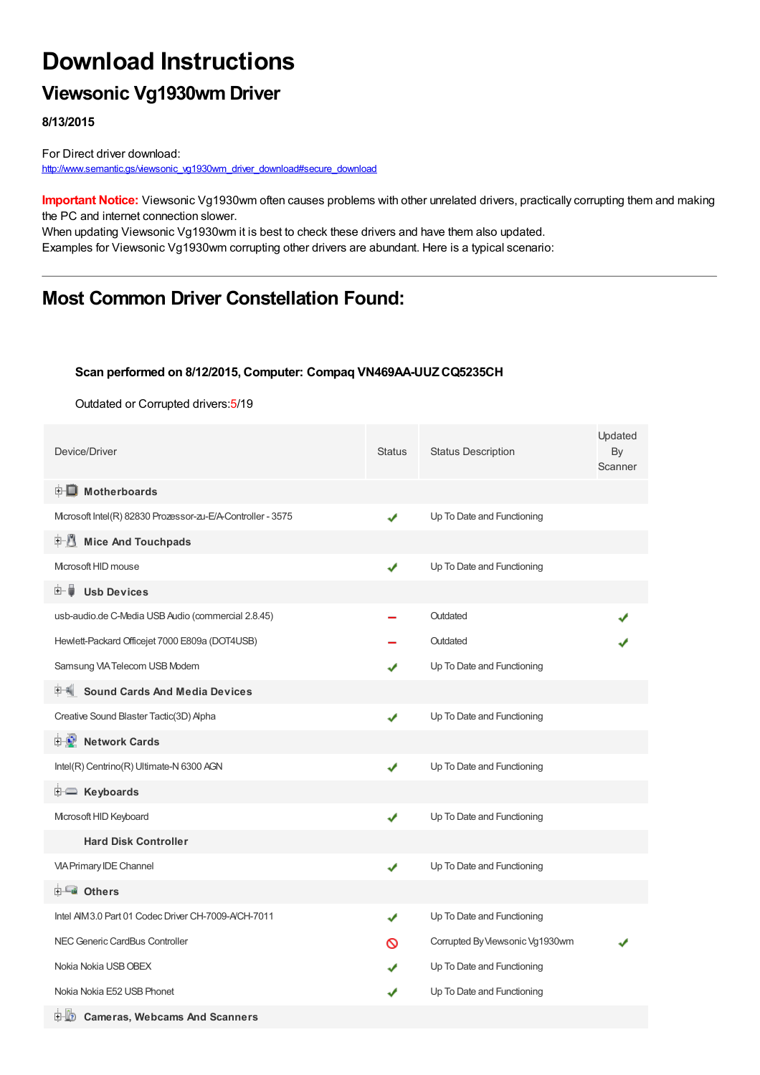# **Download Instructions**

### **Viewsonic Vg1930wm Driver**

**8/13/2015**

For Direct driver download: [http://www.semantic.gs/viewsonic\\_vg1930wm\\_driver\\_download#secure\\_download](http://www.semantic.gs/viewsonic_vg1930wm_driver_download#secure_download)

**Important Notice:** Viewsonic Vg1930wm often causes problems with other unrelated drivers, practically corrupting them and making the PC and internet connection slower.

When updating Viewsonic Vg1930wm it is best to check these drivers and have them also updated. Examples for Viewsonic Vg1930wm corrupting other drivers are abundant. Here is a typical scenario:

### **Most Common Driver Constellation Found:**

#### **Scan performed on 8/12/2015, Computer: Compaq VN469AA-UUZCQ5235CH**

Outdated or Corrupted drivers:5/19

| Device/Driver                                               | <b>Status</b> | <b>Status Description</b>       | Updated<br>By<br>Scanner |
|-------------------------------------------------------------|---------------|---------------------------------|--------------------------|
| <b>E</b> Motherboards                                       |               |                                 |                          |
| Microsoft Intel(R) 82830 Prozessor-zu-E/A-Controller - 3575 | ✔             | Up To Date and Functioning      |                          |
| <b>Mice And Touchpads</b><br>E 1                            |               |                                 |                          |
| Microsoft HID mouse                                         | ✔             | Up To Date and Functioning      |                          |
| <b>Usb Devices</b><br>⊞…■                                   |               |                                 |                          |
| usb-audio.de C-Media USB Audio (commercial 2.8.45)          |               | Outdated                        |                          |
| Hewlett-Packard Officejet 7000 E809a (DOT4USB)              |               | Outdated                        |                          |
| Samsung VIA Telecom USB Modem                               |               | Up To Date and Functioning      |                          |
| F Sound Cards And Media Devices                             |               |                                 |                          |
| Creative Sound Blaster Tactic(3D) Alpha                     | ✔             | Up To Date and Functioning      |                          |
| <b>E-D</b> Network Cards                                    |               |                                 |                          |
| Intel(R) Centrino(R) Ultimate-N 6300 AGN                    | ✔             | Up To Date and Functioning      |                          |
| <b>E</b> Keyboards                                          |               |                                 |                          |
| Microsoft HID Keyboard                                      | ✔             | Up To Date and Functioning      |                          |
| <b>Hard Disk Controller</b>                                 |               |                                 |                          |
| <b>VIA Primary IDE Channel</b>                              | ✔             | Up To Date and Functioning      |                          |
| <b>E</b> Others                                             |               |                                 |                          |
| Intel AIM3.0 Part 01 Codec Driver CH-7009-A/CH-7011         | ✔             | Up To Date and Functioning      |                          |
| NEC Generic CardBus Controller                              | ര             | Corrupted By Viewsonic Vg1930wm |                          |
| Nokia Nokia USB OBEX                                        |               | Up To Date and Functioning      |                          |
| Nokia Nokia E52 USB Phonet                                  |               | Up To Date and Functioning      |                          |
| 中 2<br><b>Cameras, Webcams And Scanners</b>                 |               |                                 |                          |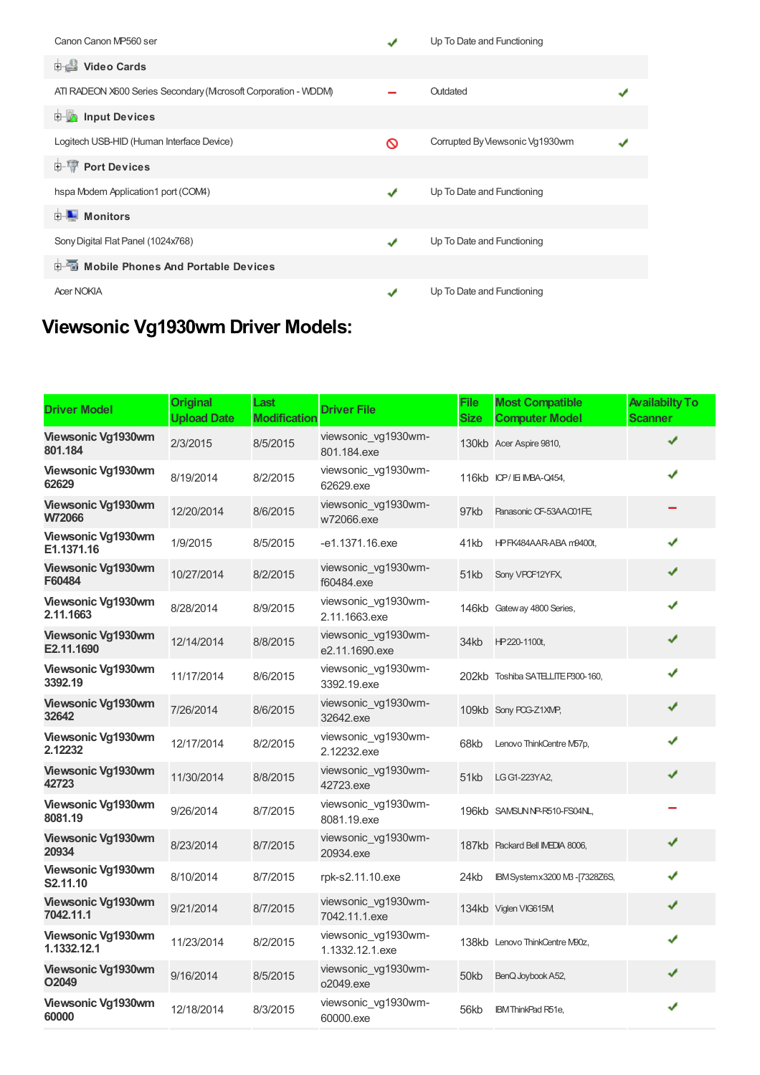| Canon Canon MP560 ser                                          |   | Up To Date and Functioning      |  |  |  |  |
|----------------------------------------------------------------|---|---------------------------------|--|--|--|--|
| <b>Dideo Cards</b>                                             |   |                                 |  |  |  |  |
| ATI RADEON X600 Series Secondary (Mcrosoft Corporation - WDDM) |   | Outdated                        |  |  |  |  |
| <b>E</b> Input Devices                                         |   |                                 |  |  |  |  |
| Logitech USB-HID (Human Interface Device)                      | ര | Corrupted By Viewsonic Vg1930wm |  |  |  |  |
| <b>E-19 Port Devices</b>                                       |   |                                 |  |  |  |  |
| hspa Modem Application1 port (COM4)                            | J | Up To Date and Functioning      |  |  |  |  |
| Monitors<br>由…                                                 |   |                                 |  |  |  |  |
| Sony Digital Flat Panel (1024x768)                             | J | Up To Date and Functioning      |  |  |  |  |
| <b>Devices</b> Mobile Phones And Portable Devices              |   |                                 |  |  |  |  |
| <b>Acer NOKIA</b>                                              |   | Up To Date and Functioning      |  |  |  |  |

## **Viewsonic Vg1930wm Driver Models:**

| <b>Driver Model</b>                     | <b>Original</b><br><b>Upload Date</b> | Last<br><b>Modification</b> | <b>Driver File</b>                     | File<br>Size | <b>Most Compatible</b><br><b>Computer Model</b> | <b>Availabilty To</b><br><b>Scanner</b> |
|-----------------------------------------|---------------------------------------|-----------------------------|----------------------------------------|--------------|-------------------------------------------------|-----------------------------------------|
| Viewsonic Vg1930wm<br>801.184           | 2/3/2015                              | 8/5/2015                    | viewsonic vg1930wm-<br>801.184.exe     |              | 130kb Acer Aspire 9810,                         | ✔                                       |
| Viewsonic Vg1930wm<br>62629             | 8/19/2014                             | 8/2/2015                    | viewsonic vg1930wm-<br>62629.exe       |              | 116kb ICP/IEIMBA-Q454,                          | ✔                                       |
| <b>Viewsonic Vg1930wm</b><br>W72066     | 12/20/2014                            | 8/6/2015                    | viewsonic vg1930wm-<br>w72066.exe      | 97kb         | Panasonic CF-53AAC01FE.                         |                                         |
| Viewsonic Vg1930wm<br>E1.1371.16        | 1/9/2015                              | 8/5/2015                    | -e1.1371.16.exe                        | 41kb         | HPFK484AAR-ABA m9400t,                          | ✔                                       |
| Viewsonic Vg1930wm<br>F60484            | 10/27/2014                            | 8/2/2015                    | viewsonic vg1930wm-<br>f60484.exe      | 51kb         | Sony VPOF12YFX,                                 | ✔                                       |
| Viewsonic Vg1930wm<br>2.11.1663         | 8/28/2014                             | 8/9/2015                    | viewsonic vg1930wm-<br>2.11.1663.exe   |              | 146kb Gateway 4800 Series,                      | ✔                                       |
| <b>Viewsonic Vg1930wm</b><br>E2.11.1690 | 12/14/2014                            | 8/8/2015                    | viewsonic vg1930wm-<br>e2.11.1690.exe  | 34kb         | HP220-1100t,                                    | ✔                                       |
| Viewsonic Vg1930wm<br>3392.19           | 11/17/2014                            | 8/6/2015                    | viewsonic vg1930wm-<br>3392.19.exe     |              | 202kb Toshiba SATELLITE P300-160,               | ✔                                       |
| Viewsonic Vg1930wm<br>32642             | 7/26/2014                             | 8/6/2015                    | viewsonic vg1930wm-<br>32642.exe       |              | 109kb Sony POG-Z1XMP,                           | ✔                                       |
| Viewsonic Vg1930wm<br>2.12232           | 12/17/2014                            | 8/2/2015                    | viewsonic vg1930wm-<br>2.12232.exe     | 68kb         | Lenovo ThinkCentre M57p,                        | ✔                                       |
| Viewsonic Vg1930wm<br>42723             | 11/30/2014                            | 8/8/2015                    | viewsonic vg1930wm-<br>42723.exe       | 51kb         | LG G1-223YA2,                                   | ✔                                       |
| Viewsonic Vg1930wm<br>8081.19           | 9/26/2014                             | 8/7/2015                    | viewsonic vg1930wm-<br>8081.19.exe     |              | 196kb SAMSUNNP-R510-FS04NL,                     |                                         |
| Viewsonic Vg1930wm<br>20934             | 8/23/2014                             | 8/7/2015                    | viewsonic vg1930wm-<br>20934.exe       |              | 187kb Packard Bell IMEDIA 8006,                 | ✔                                       |
| Viewsonic Vg1930wm<br>S2.11.10          | 8/10/2014                             | 8/7/2015                    | rpk-s2.11.10.exe                       | 24kb         | IBM System x 3200 MB - [7328Z6S,                | ✔                                       |
| Viewsonic Vg1930wm<br>7042.11.1         | 9/21/2014                             | 8/7/2015                    | viewsonic vg1930wm-<br>7042.11.1.exe   |              | 134kb Viglen VIG615M                            | ✔                                       |
| Viewsonic Vg1930wm<br>1.1332.12.1       | 11/23/2014                            | 8/2/2015                    | viewsonic vg1930wm-<br>1.1332.12.1.exe |              | 138kb Lenovo ThinkCentre M90z,                  | ✔                                       |
| Viewsonic Vg1930wm<br>O2049             | 9/16/2014                             | 8/5/2015                    | viewsonic_vg1930wm-<br>o2049.exe       | 50kb         | BenQ Joybook A52,                               | ✔                                       |
| Viewsonic Vg1930wm<br>60000             | 12/18/2014                            | 8/3/2015                    | viewsonic_vg1930wm-<br>60000.exe       | 56kb         | <b>IBM</b> ThinkPad R51e,                       | ✔                                       |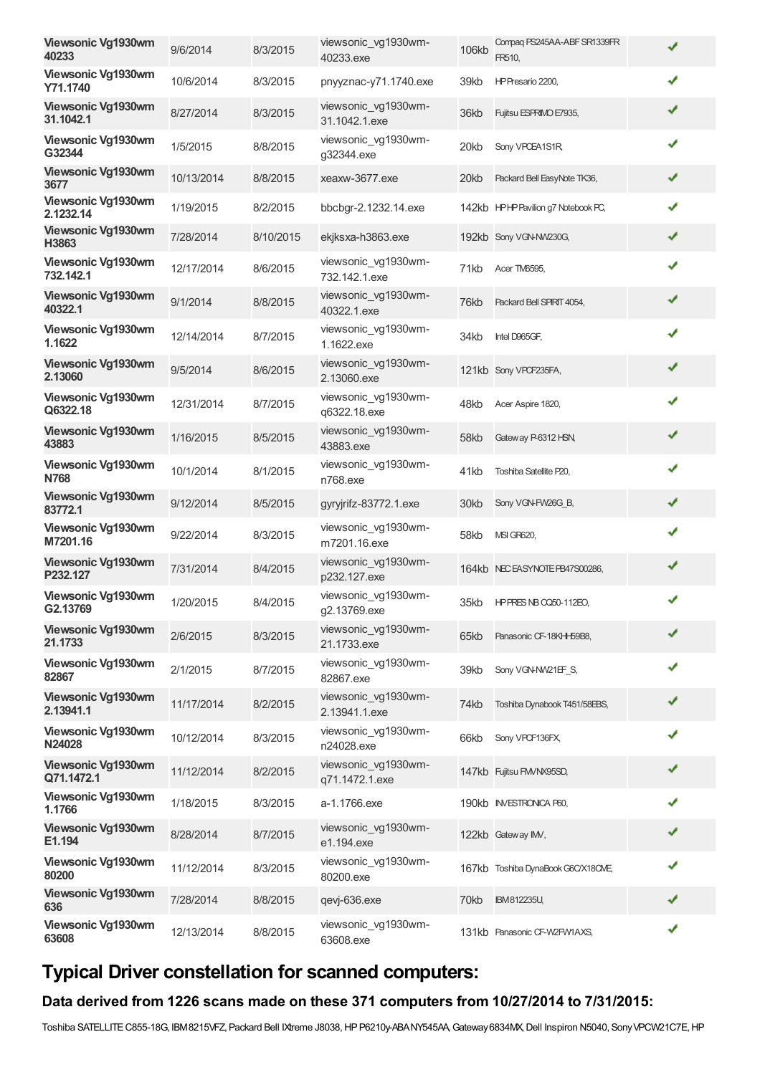| Viewsonic Vg1930wm<br>40233        | 9/6/2014   | 8/3/2015  | viewsonic_vg1930wm-<br>40233.exe      | 106kb | Compaq PS245AA-ABF SR1339FR<br>FR510, | ✔ |
|------------------------------------|------------|-----------|---------------------------------------|-------|---------------------------------------|---|
| Viewsonic Vg1930wm<br>Y71.1740     | 10/6/2014  | 8/3/2015  | pnyyznac-y71.1740.exe                 | 39kb  | HP Presario 2200,                     | ✔ |
| Viewsonic Vg1930wm<br>31.1042.1    | 8/27/2014  | 8/3/2015  | viewsonic_vg1930wm-<br>31.1042.1.exe  | 36kb  | Fujitsu ESPRIMO E7935,                | ✔ |
| Viewsonic Vg1930wm<br>G32344       | 1/5/2015   | 8/8/2015  | viewsonic_vg1930wm-<br>g32344.exe     | 20kb  | Sony VPCEA1S1R,                       | ✔ |
| Viewsonic Vg1930wm<br>3677         | 10/13/2014 | 8/8/2015  | xeaxw-3677.exe                        | 20kb  | Packard Bell EasyNote TK36,           | ✔ |
| Viewsonic Vg1930wm<br>2.1232.14    | 1/19/2015  | 8/2/2015  | bbcbgr-2.1232.14.exe                  |       | 142kb HPHP Pavilion g7 Notebook PC,   | ✔ |
| Viewsonic Vg1930wm<br>H3863        | 7/28/2014  | 8/10/2015 | ekjksxa-h3863.exe                     |       | 192kb Sony VGN-NW230G,                | ✔ |
| Viewsonic Vg1930wm<br>732.142.1    | 12/17/2014 | 8/6/2015  | viewsonic_vg1930wm-<br>732.142.1.exe  | 71kb  | Acer TM6595,                          | ✔ |
| Viewsonic Vg1930wm<br>40322.1      | 9/1/2014   | 8/8/2015  | viewsonic vg1930wm-<br>40322.1.exe    | 76kb  | Packard Bell SPIRIT 4054,             | ✔ |
| Viewsonic Vg1930wm<br>1.1622       | 12/14/2014 | 8/7/2015  | viewsonic_vg1930wm-<br>1.1622.exe     | 34kb  | Intel D965GF,                         | ✔ |
| Viewsonic Vg1930wm<br>2.13060      | 9/5/2014   | 8/6/2015  | viewsonic_vg1930wm-<br>2.13060.exe    |       | 121kb Sony VPCF235FA,                 | ✔ |
| Viewsonic Vg1930wm<br>Q6322.18     | 12/31/2014 | 8/7/2015  | viewsonic_vg1930wm-<br>q6322.18.exe   | 48kb  | Acer Aspire 1820,                     | ✔ |
| <b>Viewsonic Vg1930wm</b><br>43883 | 1/16/2015  | 8/5/2015  | viewsonic_vg1930wm-<br>43883.exe      | 58kb  | Gateway P-6312 HSN,                   | ✔ |
| Viewsonic Vg1930wm<br><b>N768</b>  | 10/1/2014  | 8/1/2015  | viewsonic_vg1930wm-<br>n768.exe       | 41kb  | Toshiba Satellite P20,                | ✔ |
| Viewsonic Vg1930wm<br>83772.1      | 9/12/2014  | 8/5/2015  | gyryjrifz-83772.1.exe                 | 30kb  | Sony VGN-FW26G B,                     | ✔ |
| Viewsonic Vg1930wm<br>M7201.16     | 9/22/2014  | 8/3/2015  | viewsonic vg1930wm-<br>m7201.16.exe   | 58kb  | <b>MSI GR620,</b>                     | ✔ |
| Viewsonic Vg1930wm<br>P232.127     | 7/31/2014  | 8/4/2015  | viewsonic_vg1930wm-<br>p232.127.exe   |       | 164kb NECEASYNOTE PB47S00286,         | ✔ |
| Viewsonic Vg1930wm<br>G2.13769     | 1/20/2015  | 8/4/2015  | viewsonic_vg1930wm-<br>q2.13769.exe   | 35kb  | <b>HPPRES NB 0050-112EO,</b>          | ✔ |
| Viewsonic Vg1930wm<br>21.1733      | 2/6/2015   | 8/3/2015  | viewsonic_vg1930wm-<br>21.1733.exe    | 65kb  | Panasonic CF-18KHH59B8,               | ✔ |
| Viewsonic Vg1930wm<br>82867        | 2/1/2015   | 8/7/2015  | viewsonic_vg1930wm-<br>82867.exe      | 39kb  | Sony VGN-NW21EF S,                    | ✔ |
| Viewsonic Vg1930wm<br>2.13941.1    | 11/17/2014 | 8/2/2015  | viewsonic_vg1930wm-<br>2.13941.1.exe  | 74kb  | Toshiba Dynabook T451/58EBS,          | ✔ |
| Viewsonic Vg1930wm<br>N24028       | 10/12/2014 | 8/3/2015  | viewsonic_vg1930wm-<br>n24028.exe     | 66kb  | Sony VPCF136FX,                       | ✔ |
| Viewsonic Vg1930wm<br>Q71.1472.1   | 11/12/2014 | 8/2/2015  | viewsonic_vg1930wm-<br>q71.1472.1.exe |       | 147kb Fujitsu FM/NX95SD,              | ✔ |
| Viewsonic Vg1930wm<br>1.1766       | 1/18/2015  | 8/3/2015  | a-1.1766.exe                          |       | 190kb INVESTRONICA P60,               |   |
| Viewsonic Vg1930wm<br>E1.194       | 8/28/2014  | 8/7/2015  | viewsonic_vg1930wm-<br>e1.194.exe     |       | 122kb Gateway IMV,                    | ✔ |
| Viewsonic Vg1930wm<br>80200        | 11/12/2014 | 8/3/2015  | viewsonic_vg1930wm-<br>80200.exe      |       | 167kb Toshiba DynaBook G6C/X18CME,    | ✔ |
| Viewsonic Vg1930wm<br>636          | 7/28/2014  | 8/8/2015  | qevj-636.exe                          | 70kb  | IBM812235U,                           | ✔ |
| Viewsonic Vg1930wm<br>63608        | 12/13/2014 | 8/8/2015  | viewsonic_vg1930wm-<br>63608.exe      |       | 131kb Panasonic CF-W2FW1AXS,          | ✔ |

## **Typical Driver constellation for scanned computers:**

### **Data derived from 1226 scans made on these 371 computers from 10/27/2014 to 7/31/2015:**

Toshiba SATELLITE C855-18G, IBM8215VFZ, Packard Bell IXtreme J8038, HP P6210y-ABANY545AA, Gateway 6834MX, Dell Inspiron N5040, Sony VPCW21C7E, HP